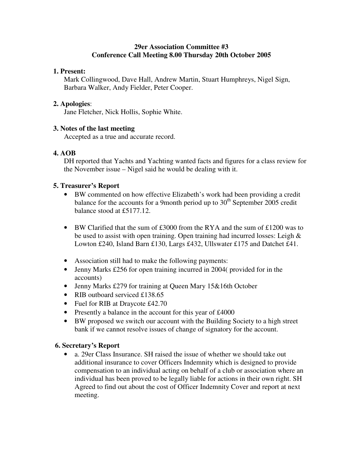#### **29er Association Committee #3 Conference Call Meeting 8.00 Thursday 20th October 2005**

#### **1. Present:**

Mark Collingwood, Dave Hall, Andrew Martin, Stuart Humphreys, Nigel Sign, Barbara Walker, Andy Fielder, Peter Cooper.

#### **2. Apologies**:

Jane Fletcher, Nick Hollis, Sophie White.

#### **3. Notes of the last meeting**

Accepted as a true and accurate record.

## **4. AOB**

DH reported that Yachts and Yachting wanted facts and figures for a class review for the November issue – Nigel said he would be dealing with it.

#### **5. Treasurer's Report**

- BW commented on how effective Elizabeth's work had been providing a credit balance for the accounts for a 9month period up to  $30<sup>th</sup>$  September 2005 credit balance stood at £5177.12.
- BW Clarified that the sum of £3000 from the RYA and the sum of £1200 was to be used to assist with open training. Open training had incurred losses: Leigh  $\&$ Lowton £240, Island Barn £130, Largs £432, Ullswater £175 and Datchet £41.
- Association still had to make the following payments:
- Jenny Marks £256 for open training incurred in 2004 (provided for in the accounts)
- Jenny Marks £279 for training at Queen Mary 15&16th October
- RIB outboard serviced £138.65
- Fuel for RIB at Draycote £42.70
- Presently a balance in the account for this year of £4000
- BW proposed we switch our account with the Building Society to a high street bank if we cannot resolve issues of change of signatory for the account.

## **6. Secretary's Report**

• a. 29er Class Insurance. SH raised the issue of whether we should take out additional insurance to cover Officers Indemnity which is designed to provide compensation to an individual acting on behalf of a club or association where an individual has been proved to be legally liable for actions in their own right. SH Agreed to find out about the cost of Officer Indemnity Cover and report at next meeting.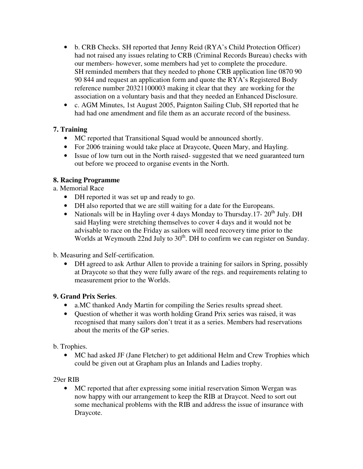- b. CRB Checks. SH reported that Jenny Reid (RYA's Child Protection Officer) had not raised any issues relating to CRB (Criminal Records Bureau) checks with our members- however, some members had yet to complete the procedure. SH reminded members that they needed to phone CRB application line 0870 90 90 844 and request an application form and quote the RYA's Registered Body reference number 20321100003 making it clear that they are working for the association on a voluntary basis and that they needed an Enhanced Disclosure.
- c. AGM Minutes, 1st August 2005, Paignton Sailing Club, SH reported that he had had one amendment and file them as an accurate record of the business.

# **7. Training**

- MC reported that Transitional Squad would be announced shortly.
- For 2006 training would take place at Draycote, Queen Mary, and Hayling.
- Issue of low turn out in the North raised-suggested that we need guaranteed turn out before we proceed to organise events in the North.

# **8. Racing Programme**

a. Memorial Race

- DH reported it was set up and ready to go.
- DH also reported that we are still waiting for a date for the Europeans.
- Nationals will be in Hayling over 4 days Monday to Thursday.17- 20<sup>th</sup> July. DH said Hayling were stretching themselves to cover 4 days and it would not be advisable to race on the Friday as sailors will need recovery time prior to the Worlds at Weymouth 22nd July to 30<sup>th</sup>. DH to confirm we can register on Sunday.

b. Measuring and Self-certification.

• DH agreed to ask Arthur Allen to provide a training for sailors in Spring, possibly at Draycote so that they were fully aware of the regs. and requirements relating to measurement prior to the Worlds.

## **9. Grand Prix Series**.

- a.MC thanked Andy Martin for compiling the Series results spread sheet.
- Ouestion of whether it was worth holding Grand Prix series was raised, it was recognised that many sailors don't treat it as a series. Members had reservations about the merits of the GP series.

## b. Trophies.

• MC had asked JF (Jane Fletcher) to get additional Helm and Crew Trophies which could be given out at Grapham plus an Inlands and Ladies trophy.

## 29er RIB

• MC reported that after expressing some initial reservation Simon Wergan was now happy with our arrangement to keep the RIB at Draycot. Need to sort out some mechanical problems with the RIB and address the issue of insurance with Draycote.